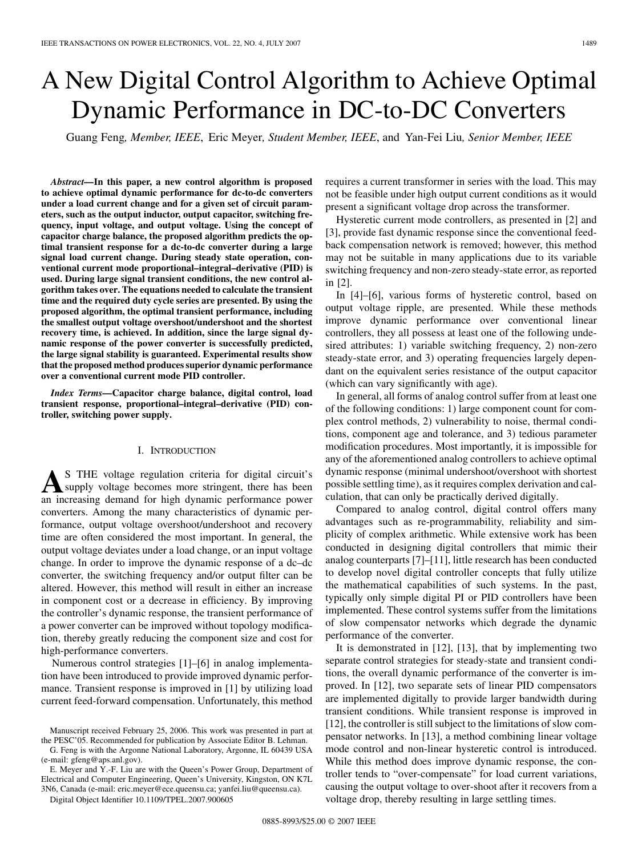# A New Digital Control Algorithm to Achieve Optimal Dynamic Performance in DC-to-DC Converters

Guang Feng*, Member, IEEE*, Eric Meyer*, Student Member, IEEE*, and Yan-Fei Liu*, Senior Member, IEEE*

*Abstract—***In this paper, a new control algorithm is proposed to achieve optimal dynamic performance for dc-to-dc converters under a load current change and for a given set of circuit parameters, such as the output inductor, output capacitor, switching frequency, input voltage, and output voltage. Using the concept of capacitor charge balance, the proposed algorithm predicts the optimal transient response for a dc-to-dc converter during a large signal load current change. During steady state operation, conventional current mode proportional–integral–derivative (PID) is used. During large signal transient conditions, the new control algorithm takes over. The equations needed to calculate the transient time and the required duty cycle series are presented. By using the proposed algorithm, the optimal transient performance, including the smallest output voltage overshoot/undershoot and the shortest recovery time, is achieved. In addition, since the large signal dynamic response of the power converter is successfully predicted, the large signal stability is guaranteed. Experimental results show that the proposed method produces superior dynamic performance over a conventional current mode PID controller.**

*Index Terms—***Capacitor charge balance, digital control, load transient response, proportional–integral–derivative (PID) controller, switching power supply.**

## I. INTRODUCTION

**A**S THE voltage regulation criteria for digital circuit's<br>supply voltage becomes more stringent, there has been<br>an increasing demand for high dynamic performance power an increasing demand for high dynamic performance power converters. Among the many characteristics of dynamic performance, output voltage overshoot/undershoot and recovery time are often considered the most important. In general, the output voltage deviates under a load change, or an input voltage change. In order to improve the dynamic response of a dc–dc converter, the switching frequency and/or output filter can be altered. However, this method will result in either an increase in component cost or a decrease in efficiency. By improving the controller's dynamic response, the transient performance of a power converter can be improved without topology modification, thereby greatly reducing the component size and cost for high-performance converters.

Numerous control strategies [1]–[6] in analog implementation have been introduced to provide improved dynamic performance. Transient response is improved in [1] by utilizing load current feed-forward compensation. Unfortunately, this method

E. Meyer and Y.-F. Liu are with the Queen's Power Group, Department of Electrical and Computer Engineering, Queen's University, Kingston, ON K7L 3N6, Canada (e-mail: eric.meyer@ece.queensu.ca; yanfei.liu@queensu.ca).

Digital Object Identifier 10.1109/TPEL.2007.900605

requires a current transformer in series with the load. This may not be feasible under high output current conditions as it would present a significant voltage drop across the transformer.

Hysteretic current mode controllers, as presented in [2] and [3], provide fast dynamic response since the conventional feedback compensation network is removed; however, this method may not be suitable in many applications due to its variable switching frequency and non-zero steady-state error, as reported in [2].

In [4]–[6], various forms of hysteretic control, based on output voltage ripple, are presented. While these methods improve dynamic performance over conventional linear controllers, they all possess at least one of the following undesired attributes: 1) variable switching frequency, 2) non-zero steady-state error, and 3) operating frequencies largely dependant on the equivalent series resistance of the output capacitor (which can vary significantly with age).

In general, all forms of analog control suffer from at least one of the following conditions: 1) large component count for complex control methods, 2) vulnerability to noise, thermal conditions, component age and tolerance, and 3) tedious parameter modification procedures. Most importantly, it is impossible for any of the aforementioned analog controllers to achieve optimal dynamic response (minimal undershoot/overshoot with shortest possible settling time), as it requires complex derivation and calculation, that can only be practically derived digitally.

Compared to analog control, digital control offers many advantages such as re-programmability, reliability and simplicity of complex arithmetic. While extensive work has been conducted in designing digital controllers that mimic their analog counterparts [7]–[11], little research has been conducted to develop novel digital controller concepts that fully utilize the mathematical capabilities of such systems. In the past, typically only simple digital PI or PID controllers have been implemented. These control systems suffer from the limitations of slow compensator networks which degrade the dynamic performance of the converter.

It is demonstrated in [12], [13], that by implementing two separate control strategies for steady-state and transient conditions, the overall dynamic performance of the converter is improved. In [12], two separate sets of linear PID compensators are implemented digitally to provide larger bandwidth during transient conditions. While transient response is improved in [12], the controller is still subject to the limitations of slow compensator networks. In [13], a method combining linear voltage mode control and non-linear hysteretic control is introduced. While this method does improve dynamic response, the controller tends to "over-compensate" for load current variations, causing the output voltage to over-shoot after it recovers from a voltage drop, thereby resulting in large settling times.

Manuscript received February 25, 2006. This work was presented in part at the PESC'05. Recommended for publication by Associate Editor B. Lehman.

G. Feng is with the Argonne National Laboratory, Argonne, IL 60439 USA (e-mail: gfeng@aps.anl.gov).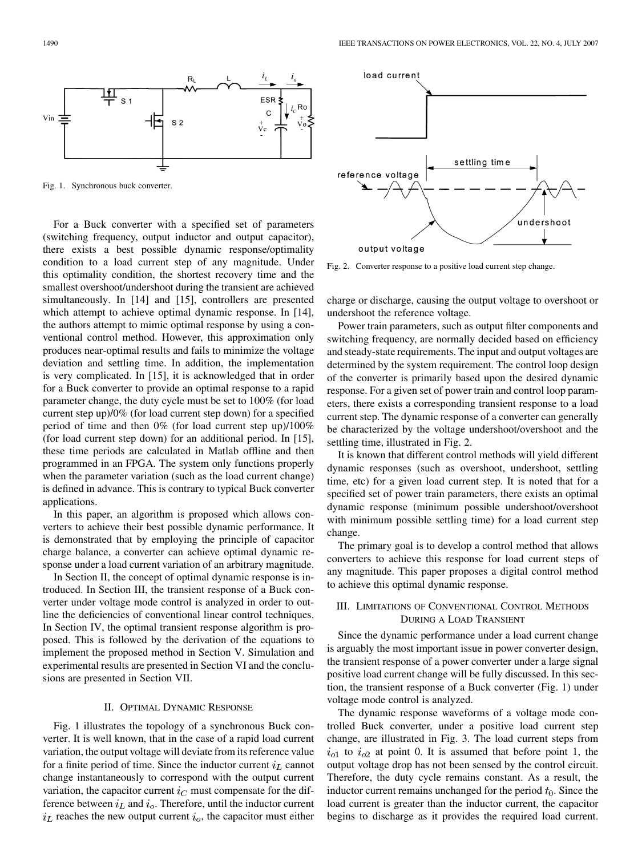

Fig. 1. Synchronous buck converter.

For a Buck converter with a specified set of parameters (switching frequency, output inductor and output capacitor), there exists a best possible dynamic response/optimality condition to a load current step of any magnitude. Under this optimality condition, the shortest recovery time and the smallest overshoot/undershoot during the transient are achieved simultaneously. In [14] and [15], controllers are presented which attempt to achieve optimal dynamic response. In [14], the authors attempt to mimic optimal response by using a conventional control method. However, this approximation only produces near-optimal results and fails to minimize the voltage deviation and settling time. In addition, the implementation is very complicated. In [15], it is acknowledged that in order for a Buck converter to provide an optimal response to a rapid parameter change, the duty cycle must be set to 100% (for load current step up)/0% (for load current step down) for a specified period of time and then 0% (for load current step up)/100% (for load current step down) for an additional period. In [15], these time periods are calculated in Matlab offline and then programmed in an FPGA. The system only functions properly when the parameter variation (such as the load current change) is defined in advance. This is contrary to typical Buck converter applications.

In this paper, an algorithm is proposed which allows converters to achieve their best possible dynamic performance. It is demonstrated that by employing the principle of capacitor charge balance, a converter can achieve optimal dynamic response under a load current variation of an arbitrary magnitude.

In Section II, the concept of optimal dynamic response is introduced. In Section III, the transient response of a Buck converter under voltage mode control is analyzed in order to outline the deficiencies of conventional linear control techniques. In Section IV, the optimal transient response algorithm is proposed. This is followed by the derivation of the equations to implement the proposed method in Section V. Simulation and experimental results are presented in Section VI and the conclusions are presented in Section VII.

## II. OPTIMAL DYNAMIC RESPONSE

Fig. 1 illustrates the topology of a synchronous Buck converter. It is well known, that in the case of a rapid load current variation, the output voltage will deviate from its reference value for a finite period of time. Since the inductor current  $i<sub>L</sub>$  cannot change instantaneously to correspond with the output current variation, the capacitor current  $i_C$  must compensate for the difference between  $i_L$  and  $i_o$ . Therefore, until the inductor current  $i_L$  reaches the new output current  $i_o$ , the capacitor must either



Fig. 2. Converter response to a positive load current step change.

charge or discharge, causing the output voltage to overshoot or undershoot the reference voltage.

Power train parameters, such as output filter components and switching frequency, are normally decided based on efficiency and steady-state requirements. The input and output voltages are determined by the system requirement. The control loop design of the converter is primarily based upon the desired dynamic response. For a given set of power train and control loop parameters, there exists a corresponding transient response to a load current step. The dynamic response of a converter can generally be characterized by the voltage undershoot/overshoot and the settling time, illustrated in Fig. 2.

It is known that different control methods will yield different dynamic responses (such as overshoot, undershoot, settling time, etc) for a given load current step. It is noted that for a specified set of power train parameters, there exists an optimal dynamic response (minimum possible undershoot/overshoot with minimum possible settling time) for a load current step change.

The primary goal is to develop a control method that allows converters to achieve this response for load current steps of any magnitude. This paper proposes a digital control method to achieve this optimal dynamic response.

# III. LIMITATIONS OF CONVENTIONAL CONTROL METHODS DURING A LOAD TRANSIENT

Since the dynamic performance under a load current change is arguably the most important issue in power converter design, the transient response of a power converter under a large signal positive load current change will be fully discussed. In this section, the transient response of a Buck converter (Fig. 1) under voltage mode control is analyzed.

The dynamic response waveforms of a voltage mode controlled Buck converter, under a positive load current step change, are illustrated in Fig. 3. The load current steps from  $i_{o1}$  to  $i_{o2}$  at point 0. It is assumed that before point 1, the output voltage drop has not been sensed by the control circuit. Therefore, the duty cycle remains constant. As a result, the inductor current remains unchanged for the period  $t<sub>0</sub>$ . Since the load current is greater than the inductor current, the capacitor begins to discharge as it provides the required load current.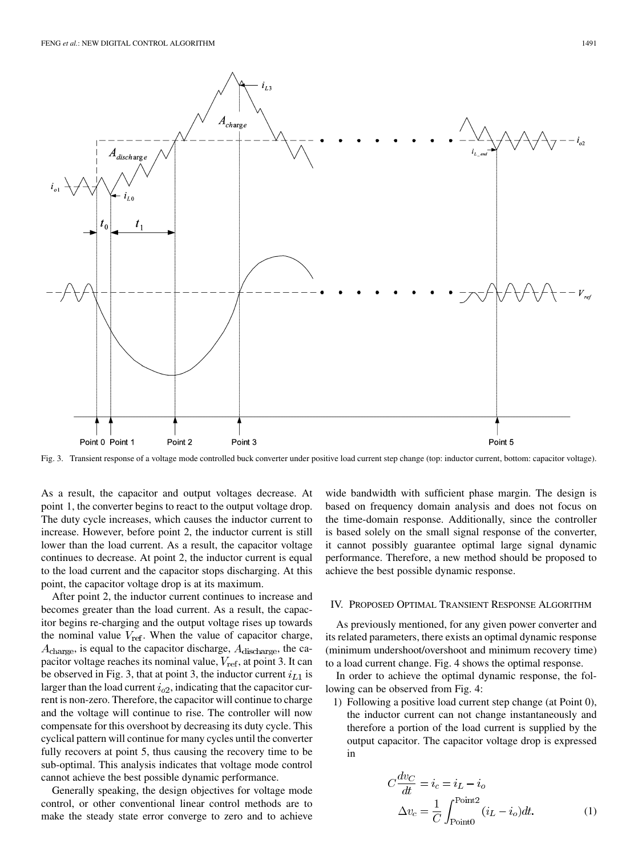

Fig. 3. Transient response of a voltage mode controlled buck converter under positive load current step change (top: inductor current, bottom: capacitor voltage).

As a result, the capacitor and output voltages decrease. At point 1, the converter begins to react to the output voltage drop. The duty cycle increases, which causes the inductor current to increase. However, before point 2, the inductor current is still lower than the load current. As a result, the capacitor voltage continues to decrease. At point 2, the inductor current is equal to the load current and the capacitor stops discharging. At this point, the capacitor voltage drop is at its maximum.

After point 2, the inductor current continues to increase and becomes greater than the load current. As a result, the capacitor begins re-charging and the output voltage rises up towards the nominal value  $V_{ref}$ . When the value of capacitor charge,  $A_{\text{charge}}$ , is equal to the capacitor discharge,  $A_{\text{discharge}}$ , the capacitor voltage reaches its nominal value,  $V_{\text{ref}}$ , at point 3. It can be observed in Fig. 3, that at point 3, the inductor current  $i_{L1}$  is larger than the load current  $i_{o2}$ , indicating that the capacitor current is non-zero. Therefore, the capacitor will continue to charge and the voltage will continue to rise. The controller will now compensate for this overshoot by decreasing its duty cycle. This cyclical pattern will continue for many cycles until the converter fully recovers at point 5, thus causing the recovery time to be sub-optimal. This analysis indicates that voltage mode control cannot achieve the best possible dynamic performance.

Generally speaking, the design objectives for voltage mode control, or other conventional linear control methods are to make the steady state error converge to zero and to achieve

wide bandwidth with sufficient phase margin. The design is based on frequency domain analysis and does not focus on the time-domain response. Additionally, since the controller is based solely on the small signal response of the converter, it cannot possibly guarantee optimal large signal dynamic performance. Therefore, a new method should be proposed to achieve the best possible dynamic response.

#### IV. PROPOSED OPTIMAL TRANSIENT RESPONSE ALGORITHM

As previously mentioned, for any given power converter and its related parameters, there exists an optimal dynamic response (minimum undershoot/overshoot and minimum recovery time) to a load current change. Fig. 4 shows the optimal response.

In order to achieve the optimal dynamic response, the following can be observed from Fig. 4:

1) Following a positive load current step change (at Point 0), the inductor current can not change instantaneously and therefore a portion of the load current is supplied by the output capacitor. The capacitor voltage drop is expressed in

$$
C\frac{dv_C}{dt} = i_c = i_L - i_o
$$
  
\n
$$
\Delta v_c = \frac{1}{C} \int_{\text{Point0}}^{\text{Point2}} (i_L - i_o) dt.
$$
 (1)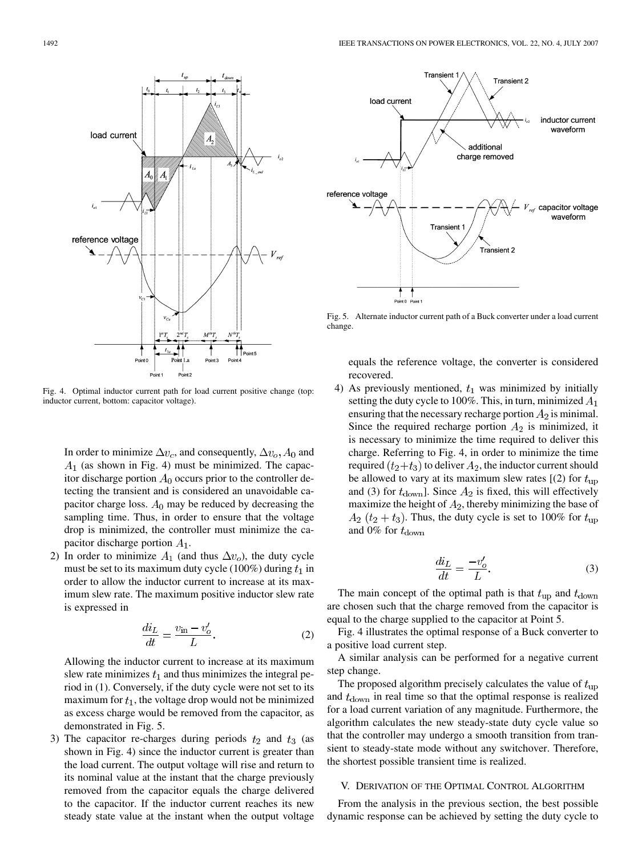

Fig. 4. Optimal inductor current path for load current positive change (top: inductor current, bottom: capacitor voltage).

In order to minimize  $\Delta v_c$ , and consequently,  $\Delta v_o$ ,  $A_0$  and  $A_1$  (as shown in Fig. 4) must be minimized. The capacitor discharge portion  $A_0$  occurs prior to the controller detecting the transient and is considered an unavoidable capacitor charge loss.  $A_0$  may be reduced by decreasing the sampling time. Thus, in order to ensure that the voltage drop is minimized, the controller must minimize the capacitor discharge portion  $A_1$ .

2) In order to minimize  $A_1$  (and thus  $\Delta v_0$ ), the duty cycle must be set to its maximum duty cycle (100%) during  $t_1$  in order to allow the inductor current to increase at its maximum slew rate. The maximum positive inductor slew rate is expressed in

$$
\frac{di_L}{dt} = \frac{v_{\rm in} - v_o'}{L}.\tag{2}
$$

Allowing the inductor current to increase at its maximum slew rate minimizes  $t_1$  and thus minimizes the integral period in (1). Conversely, if the duty cycle were not set to its maximum for  $t_1$ , the voltage drop would not be minimized as excess charge would be removed from the capacitor, as demonstrated in Fig. 5.

3) The capacitor re-charges during periods  $t_2$  and  $t_3$  (as shown in Fig. 4) since the inductor current is greater than the load current. The output voltage will rise and return to its nominal value at the instant that the charge previously removed from the capacitor equals the charge delivered to the capacitor. If the inductor current reaches its new steady state value at the instant when the output voltage



Fig. 5. Alternate inductor current path of a Buck converter under a load current change.

equals the reference voltage, the converter is considered recovered.

4) As previously mentioned,  $t_1$  was minimized by initially setting the duty cycle to 100%. This, in turn, minimized  $A_1$ ensuring that the necessary recharge portion  $A_2$  is minimal. Since the required recharge portion  $A_2$  is minimized, it is necessary to minimize the time required to deliver this charge. Referring to Fig. 4, in order to minimize the time required  $(t_2+t_3)$  to deliver  $A_2$ , the inductor current should be allowed to vary at its maximum slew rates  $[(2)$  for  $t_{\text{up}}$ and (3) for  $t_{\text{down}}$ . Since  $A_2$  is fixed, this will effectively maximize the height of  $A_2$ , thereby minimizing the base of  $A_2$  ( $t_2 + t_3$ ). Thus, the duty cycle is set to 100% for  $t_{\text{up}}$ and 0% for  $t_{\text{down}}$ 

$$
\frac{di_L}{dt} = \frac{-v_o'}{L}.\tag{3}
$$

The main concept of the optimal path is that  $t_{\text{up}}$  and  $t_{\text{down}}$ are chosen such that the charge removed from the capacitor is equal to the charge supplied to the capacitor at Point 5.

Fig. 4 illustrates the optimal response of a Buck converter to a positive load current step.

A similar analysis can be performed for a negative current step change.

The proposed algorithm precisely calculates the value of  $t_{\text{up}}$ and  $t_{\text{down}}$  in real time so that the optimal response is realized for a load current variation of any magnitude. Furthermore, the algorithm calculates the new steady-state duty cycle value so that the controller may undergo a smooth transition from transient to steady-state mode without any switchover. Therefore, the shortest possible transient time is realized.

## V. DERIVATION OF THE OPTIMAL CONTROL ALGORITHM

From the analysis in the previous section, the best possible dynamic response can be achieved by setting the duty cycle to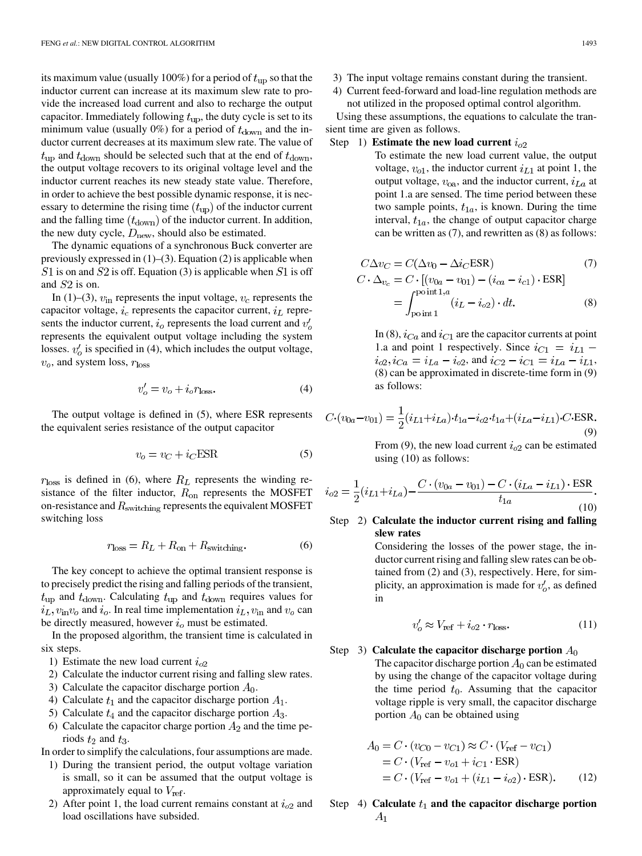its maximum value (usually 100%) for a period of  $t_{\text{up}}$  so that the inductor current can increase at its maximum slew rate to provide the increased load current and also to recharge the output capacitor. Immediately following  $t_{\text{up}}$ , the duty cycle is set to its minimum value (usually  $0\%$ ) for a period of  $t_{\text{down}}$  and the inductor current decreases at its maximum slew rate. The value of  $t_{\text{up}}$  and  $t_{\text{down}}$  should be selected such that at the end of  $t_{\text{down}}$ , the output voltage recovers to its original voltage level and the inductor current reaches its new steady state value. Therefore, in order to achieve the best possible dynamic response, it is necessary to determine the rising time  $(t_{\text{up}})$  of the inductor current and the falling time  $(t_{\text{down}})$  of the inductor current. In addition, the new duty cycle,  $D_{\text{new}}$ , should also be estimated.

The dynamic equations of a synchronous Buck converter are previously expressed in  $(1)$ – $(3)$ . Equation  $(2)$  is applicable when S1 is on and S2 is off. Equation (3) is applicable when S1 is off and  $S2$  is on.

In (1)–(3),  $v_{\text{in}}$  represents the input voltage,  $v_c$  represents the capacitor voltage,  $i_c$  represents the capacitor current,  $i_l$  represents the inductor current,  $i<sub>o</sub>$  represents the load current and  $v'_{o}$ represents the equivalent output voltage including the system losses.  $v'_o$  is specified in (4), which includes the output voltage,  $v_o$ , and system loss,  $r_{\text{loss}}$ 

$$
v_o' = v_o + i_o r_{\text{loss}}.\tag{4}
$$

The output voltage is defined in (5), where ESR represents the equivalent series resistance of the output capacitor

$$
v_o = v_C + i_C \text{ESR} \tag{5}
$$

 $r_{\text{loss}}$  is defined in (6), where  $R_L$  represents the winding resistance of the filter inductor,  $R_{\text{on}}$  represents the MOSFET on-resistance and  $R_{\text{switching}}$  represents the equivalent MOSFET switching loss

$$
r_{\text{loss}} = R_L + R_{\text{on}} + R_{\text{switching}}.\tag{6}
$$

The key concept to achieve the optimal transient response is to precisely predict the rising and falling periods of the transient,  $t_{\text{up}}$  and  $t_{\text{down}}$ . Calculating  $t_{\text{up}}$  and  $t_{\text{down}}$  requires values for  $i_L, v_{\text{in}}v_o$  and  $i_o$ . In real time implementation  $i_L, v_{\text{in}}$  and  $v_o$  can be directly measured, however  $i<sub>o</sub>$  must be estimated.

In the proposed algorithm, the transient time is calculated in six steps.

- 1) Estimate the new load current  $i_{o2}$
- 2) Calculate the inductor current rising and falling slew rates.
- 3) Calculate the capacitor discharge portion  $A_0$ .
- 4) Calculate  $t_1$  and the capacitor discharge portion  $A_1$ .
- 5) Calculate  $t_4$  and the capacitor discharge portion  $A_3$ .
- 6) Calculate the capacitor charge portion  $A_2$  and the time periods  $t_2$  and  $t_3$ .

In order to simplify the calculations, four assumptions are made.

- 1) During the transient period, the output voltage variation is small, so it can be assumed that the output voltage is approximately equal to  $V_{\text{ref}}$ .
- 2) After point 1, the load current remains constant at  $i_{02}$  and load oscillations have subsided.
- 3) The input voltage remains constant during the transient.
- 4) Current feed-forward and load-line regulation methods are not utilized in the proposed optimal control algorithm.

Using these assumptions, the equations to calculate the transient time are given as follows.

# Step 1) **Estimate the new load current**  $i_{o2}$

To estimate the new load current value, the output voltage,  $v_{o1}$ , the inductor current  $i_{L1}$  at point 1, the output voltage,  $v_{oa}$ , and the inductor current,  $i_{La}$  at point 1.a are sensed. The time period between these two sample points,  $t_{1a}$ , is known. During the time interval,  $t_{1a}$ , the change of output capacitor charge can be written as (7), and rewritten as (8) as follows:

$$
C\Delta v_C = C(\Delta v_0 - \Delta i_C \text{ESR})\tag{7}
$$

$$
C \cdot \Delta_{v_c} = C \cdot [(v_{0a} - v_{01}) - (i_{ca} - i_{c1}) \cdot \text{ESR}]
$$
  
= 
$$
\int_{\text{point 1}}^{\text{point 1,a}} (i_L - i_{o2}) \cdot dt.
$$
 (8)

In (8),  $i_{Ca}$  and  $i_{C1}$  are the capacitor currents at point 1.a and point 1 respectively. Since  $i_{C1} = i_{L1}$  –  $i_{o2}, i_{Ca} = i_{La} - i_{o2}$ , and  $i_{C2} - i_{C1} = i_{La} - i_{L1}$ , (8) can be approximated in discrete-time form in (9) as follows:

$$
C \cdot (v_{0a} - v_{01}) = \frac{1}{2} (i_{L1} + i_{La}) \cdot t_{1a} - i_{o2} \cdot t_{1a} + (i_{La} - i_{L1}) \cdot C \cdot \text{ESR}.
$$
  
(9)  
From (9), the new local current *i* - can be estimated

From (9), the new load current  $i_{o2}$  can be estimated using (10) as follows:

$$
i_{o2} = \frac{1}{2}(i_{L1} + i_{La}) - \frac{C \cdot (v_{0a} - v_{01}) - C \cdot (i_{La} - i_{L1}) \cdot \text{ESR}}{t_{1a}}.
$$
\n(10)

# Step 2) **Calculate the inductor current rising and falling slew rates**

Considering the losses of the power stage, the inductor current rising and falling slew rates can be obtained from (2) and (3), respectively. Here, for simplicity, an approximation is made for  $v'_o$ , as defined in

$$
v_o' \approx V_{\text{ref}} + i_{o2} \cdot r_{\text{loss}}.\tag{11}
$$

## Step 3) **Calculate the capacitor discharge portion**

The capacitor discharge portion  $A_0$  can be estimated by using the change of the capacitor voltage during the time period  $t_0$ . Assuming that the capacitor voltage ripple is very small, the capacitor discharge portion  $A_0$  can be obtained using

$$
A_0 = C \cdot (v_{C0} - v_{C1}) \approx C \cdot (V_{\text{ref}} - v_{C1})
$$
  
=  $C \cdot (V_{\text{ref}} - v_{o1} + i_{C1} \cdot \text{ESR})$   
=  $C \cdot (V_{\text{ref}} - v_{o1} + (i_{L1} - i_{o2}) \cdot \text{ESR}).$  (12)

Step 4) **Calculate**  $t_1$  and the capacitor discharge portion  $A<sub>1</sub>$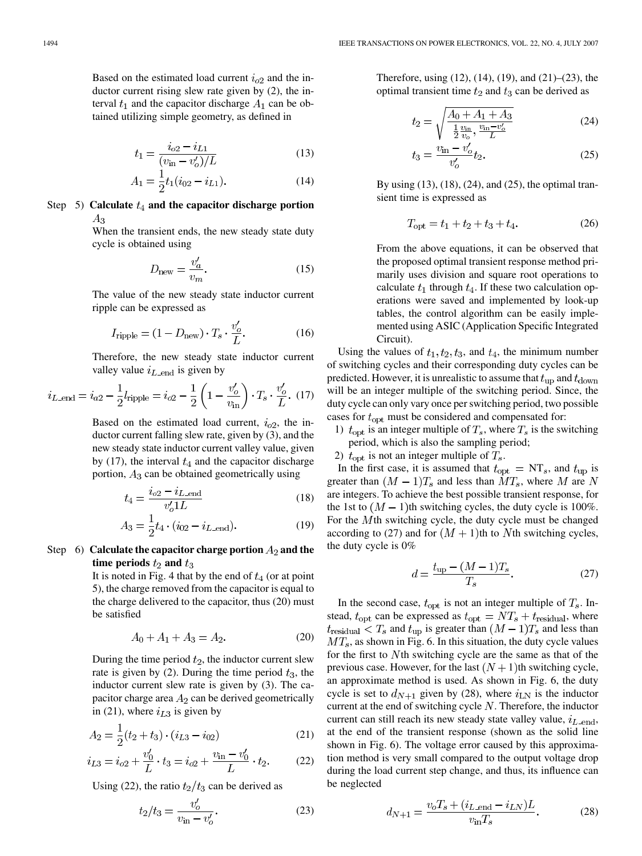Based on the estimated load current  $i_{o2}$  and the inductor current rising slew rate given by (2), the interval  $t_1$  and the capacitor discharge  $A_1$  can be obtained utilizing simple geometry, as defined in

$$
t_1 = \frac{i_{o2} - i_{L1}}{(v_{\text{in}} - v_o')/L}
$$
 (13)

$$
A_1 = \frac{1}{2}t_1(i_{02} - i_{L1}).
$$
\n(14)

# Step 5) **Calculate**  $t_4$  and the capacitor discharge portion  $A_3$

When the transient ends, the new steady state duty cycle is obtained using

$$
D_{\text{new}} = \frac{v_a'}{v_m}.\tag{15}
$$

The value of the new steady state inductor current ripple can be expressed as

$$
I_{\text{ripple}} = (1 - D_{\text{new}}) \cdot T_s \cdot \frac{v_o'}{L}.
$$
 (16)

Therefore, the new steady state inductor current valley value  $i_{L_{\text{end}}}$  is given by

$$
i_{L \text{ end}} = i_{a2} - \frac{1}{2} l_{\text{ripple}} = i_{o2} - \frac{1}{2} \left( 1 - \frac{v_o'}{v_{\text{in}}} \right) \cdot T_s \cdot \frac{v_o'}{L}.
$$
 (17)

Based on the estimated load current,  $i_{o2}$ , the inductor current falling slew rate, given by (3), and the new steady state inductor current valley value, given by (17), the interval  $t_4$  and the capacitor discharge portion,  $A_3$  can be obtained geometrically using

$$
t_4 = \frac{i_{o2} - i_{L \text{ end}}}{v_o' 1L}
$$
 (18)

$$
A_3 = \frac{1}{2} t_4 \cdot (i_{02} - i_{L\text{-end}}). \tag{19}
$$

# Step 6) **Calculate the capacitor charge portion**  $A_2$  and the **time periods**  $t_2$  and  $t_3$

It is noted in Fig. 4 that by the end of  $t_4$  (or at point 5), the charge removed from the capacitor is equal to the charge delivered to the capacitor, thus (20) must be satisfied

$$
A_0 + A_1 + A_3 = A_2. \tag{20}
$$

During the time period  $t_2$ , the inductor current slew rate is given by (2). During the time period  $t_3$ , the inductor current slew rate is given by (3). The capacitor charge area  $A_2$  can be derived geometrically in (21), where  $i_{L3}$  is given by

$$
A_2 = \frac{1}{2}(t_2 + t_3) \cdot (i_{L3} - i_{02})
$$
 (21)

$$
i_{L3} = i_{o2} + \frac{v'_0}{L} \cdot t_3 = i_{o2} + \frac{v_{\text{in}} - v'_0}{L} \cdot t_2. \tag{22}
$$

Using (22), the ratio  $t_2/t_3$  can be derived as

$$
t_2/t_3 = \frac{v'_o}{v_{\rm in} - v'_o}.\tag{23}
$$

Therefore, using (12), (14), (19), and (21)–(23), the optimal transient time  $t_2$  and  $t_3$  can be derived as

$$
t_2 = \sqrt{\frac{A_0 + A_1 + A_3}{\frac{1}{2} \frac{v_{\text{in}}}{v_o}, \frac{v_{\text{in}} - v_o'}{L}}}
$$
(24)

$$
t_3 = \frac{v_{\rm in} - v'_o}{v'_o} t_2.
$$
 (25)

By using (13), (18), (24), and (25), the optimal transient time is expressed as

$$
T_{\rm opt} = t_1 + t_2 + t_3 + t_4. \tag{26}
$$

From the above equations, it can be observed that the proposed optimal transient response method primarily uses division and square root operations to calculate  $t_1$  through  $t_4$ . If these two calculation operations were saved and implemented by look-up tables, the control algorithm can be easily implemented using ASIC (Application Specific Integrated Circuit).

Using the values of  $t_1, t_2, t_3$ , and  $t_4$ , the minimum number of switching cycles and their corresponding duty cycles can be predicted. However, it is unrealistic to assume that  $t_{\text{up}}$  and  $t_{\text{down}}$ will be an integer multiple of the switching period. Since, the duty cycle can only vary once per switching period, two possible cases for  $t_{\rm opt}$  must be considered and compensated for:

- 1)  $t_{\text{opt}}$  is an integer multiple of  $T_s$ , where  $T_s$  is the switching period, which is also the sampling period;
- 2)  $t_{\rm opt}$  is not an integer multiple of  $T_s$ .

In the first case, it is assumed that  $t_{\rm opt} = NT_s$ , and  $t_{\rm up}$  is greater than  $(M-1)T_s$  and less than  $MT_s$ , where M are N are integers. To achieve the best possible transient response, for the 1st to  $(M - 1)$ th switching cycles, the duty cycle is 100%. For the  $M$ th switching cycle, the duty cycle must be changed according to (27) and for  $(M + 1)$ th to Nth switching cycles, the duty cycle is 0%

$$
d = \frac{t_{\rm up} - (M - 1)T_s}{T_s}.
$$
 (27)

In the second case,  $t_{\text{opt}}$  is not an integer multiple of  $T_s$ . Instead,  $t_{\rm opt}$  can be expressed as  $t_{\rm opt} = NT_s + t_{\rm residual}$ , where  $t_{\text{residual}} < T_s$  and  $t_{\text{up}}$  is greater than  $(M-1)T_s$  and less than  $MT_s$ , as shown in Fig. 6. In this situation, the duty cycle values for the first to  $N$ th switching cycle are the same as that of the previous case. However, for the last  $(N + 1)$ th switching cycle, an approximate method is used. As shown in Fig. 6, the duty cycle is set to  $d_{N+1}$  given by (28), where  $i_{LN}$  is the inductor current at the end of switching cycle  $N$ . Therefore, the inductor current can still reach its new steady state valley value,  $i_{L\text{-end}}$ , at the end of the transient response (shown as the solid line shown in Fig. 6). The voltage error caused by this approximation method is very small compared to the output voltage drop during the load current step change, and thus, its influence can be neglected

$$
d_{N+1} = \frac{v_o T_s + (i_{L \text{ end}} - i_{LN})L}{v_{\text{in}} T_s}.
$$
 (28)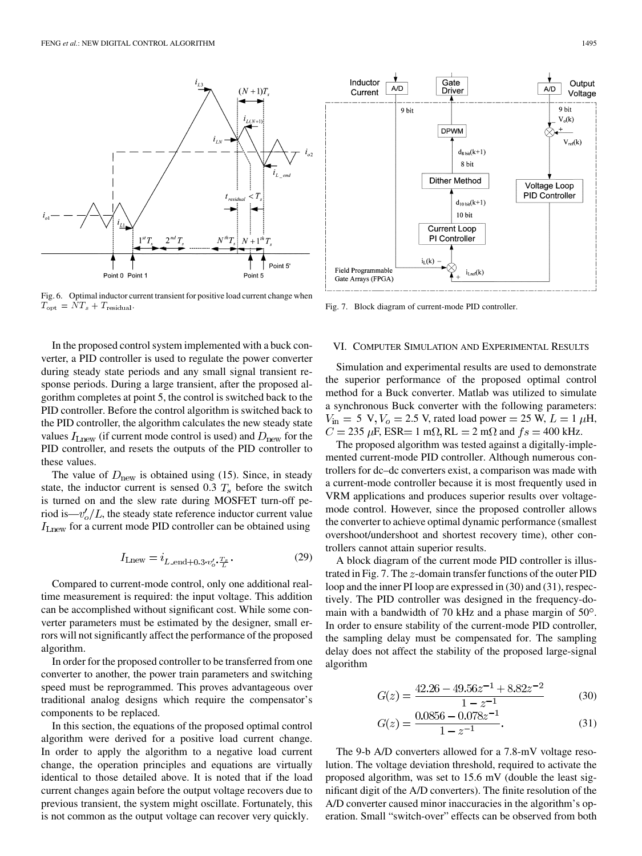

Fig. 6. Optimal inductor current transient for positive load current change when  $T_{\rm opt} = NT_s + T_{\rm residual}.$ 

In the proposed control system implemented with a buck converter, a PID controller is used to regulate the power converter during steady state periods and any small signal transient response periods. During a large transient, after the proposed algorithm completes at point 5, the control is switched back to the PID controller. Before the control algorithm is switched back to the PID controller, the algorithm calculates the new steady state values  $I_{\text{Lnew}}$  (if current mode control is used) and  $D_{\text{new}}$  for the PID controller, and resets the outputs of the PID controller to these values.

The value of  $D<sub>new</sub>$  is obtained using (15). Since, in steady state, the inductor current is sensed 0.3  $T_s$  before the switch is turned on and the slew rate during MOSFET turn-off period is— $v'_o/L$ , the steady state reference inductor current value  $I_{\text{Lnew}}$  for a current mode PID controller can be obtained using

$$
I_{\text{Lnew}} = i_{L\text{-end}+0.3 \cdot v_o' \cdot \frac{T_s}{L}}.\tag{29}
$$

Compared to current-mode control, only one additional realtime measurement is required: the input voltage. This addition can be accomplished without significant cost. While some converter parameters must be estimated by the designer, small errors will not significantly affect the performance of the proposed algorithm.

In order for the proposed controller to be transferred from one converter to another, the power train parameters and switching speed must be reprogrammed. This proves advantageous over traditional analog designs which require the compensator's components to be replaced.

In this section, the equations of the proposed optimal control algorithm were derived for a positive load current change. In order to apply the algorithm to a negative load current change, the operation principles and equations are virtually identical to those detailed above. It is noted that if the load current changes again before the output voltage recovers due to previous transient, the system might oscillate. Fortunately, this is not common as the output voltage can recover very quickly.



Fig. 7. Block diagram of current-mode PID controller.

#### VI. COMPUTER SIMULATION AND EXPERIMENTAL RESULTS

Simulation and experimental results are used to demonstrate the superior performance of the proposed optimal control method for a Buck converter. Matlab was utilized to simulate a synchronous Buck converter with the following parameters:  $V_{\text{in}} = 5 \text{ V}, V_{o} = 2.5 \text{ V}$ , rated load power = 25 W,  $L = 1 \mu \text{H}$ ,  $C = 235 \,\mu\text{F}$ , ESR = 1 m $\Omega$ , RL = 2 m $\Omega$  and  $fs = 400 \,\text{kHz}$ .

The proposed algorithm was tested against a digitally-implemented current-mode PID controller. Although numerous controllers for dc–dc converters exist, a comparison was made with a current-mode controller because it is most frequently used in VRM applications and produces superior results over voltagemode control. However, since the proposed controller allows the converter to achieve optimal dynamic performance (smallest overshoot/undershoot and shortest recovery time), other controllers cannot attain superior results.

A block diagram of the current mode PID controller is illustrated in Fig. 7. The  $z$ -domain transfer functions of the outer PID loop and the inner PI loop are expressed in (30) and (31), respectively. The PID controller was designed in the frequency-domain with a bandwidth of 70 kHz and a phase margin of  $50^{\circ}$ . In order to ensure stability of the current-mode PID controller, the sampling delay must be compensated for. The sampling delay does not affect the stability of the proposed large-signal algorithm

$$
G(z) = \frac{42.26 - 49.56z^{-1} + 8.82z^{-2}}{1 - z^{-1}}\tag{30}
$$

$$
G(z) = \frac{0.0856 - 0.078z^{-1}}{1 - z^{-1}}.
$$
\n(31)

The 9-b A/D converters allowed for a 7.8-mV voltage resolution. The voltage deviation threshold, required to activate the proposed algorithm, was set to 15.6 mV (double the least significant digit of the A/D converters). The finite resolution of the A/D converter caused minor inaccuracies in the algorithm's operation. Small "switch-over" effects can be observed from both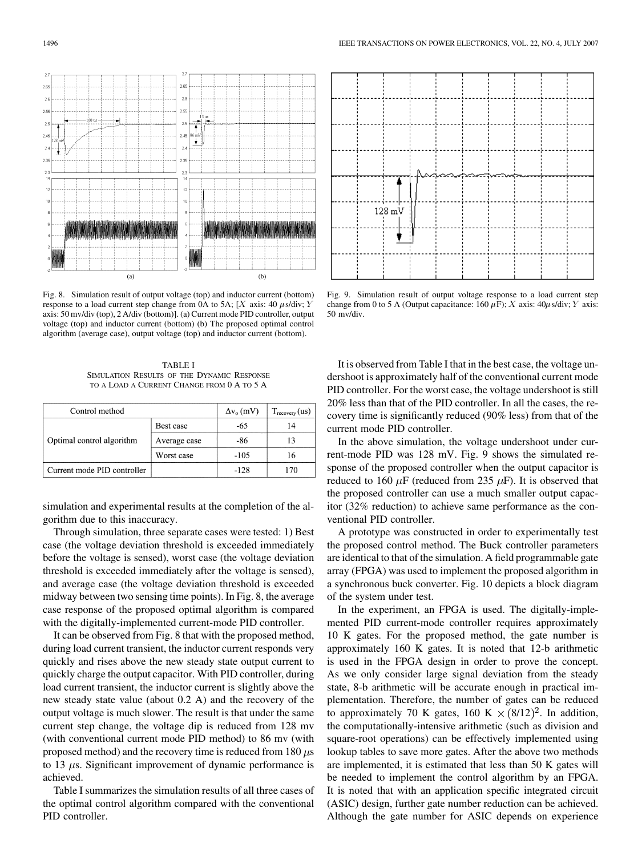$26$  $\overline{\mathcal{D}}$  $\overline{28}$  $2.55$ วผ  $\mathcal{D}$  $\mathbf{f}$  $^{24}$  $2.45$  $\overline{\mathbf{r}}$  $2\lambda$  $\overline{2}$ ÷  $2.3$  $2.3<sup>2</sup>$  $12$  $\overline{10}$  $(a)$  $(b)$ 

Fig. 8. Simulation result of output voltage (top) and inductor current (bottom) response to a load current step change from 0A to 5A; [X axis: 40  $\mu$ s/div; Y axis: 50 mv/div (top), 2 A/div (bottom)]. (a) Current mode PID controller, output voltage (top) and inductor current (bottom) (b) The proposed optimal control algorithm (average case), output voltage (top) and inductor current (bottom).

TABLE I SIMULATION RESULTS OF THE DYNAMIC RESPONSE TO A LOAD A CURRENT CHANGE FROM 0 A TO 5 A

| Control method              |              | $\Delta v_{o}$ (mV) | $T_{\text{recovery}}(us)$ |
|-----------------------------|--------------|---------------------|---------------------------|
| Optimal control algorithm   | Best case    | -65                 | 14                        |
|                             | Average case | -86                 | 13                        |
|                             | Worst case   | $-105$              | 16                        |
| Current mode PID controller |              | $-128$              | 170                       |

simulation and experimental results at the completion of the algorithm due to this inaccuracy.

Through simulation, three separate cases were tested: 1) Best case (the voltage deviation threshold is exceeded immediately before the voltage is sensed), worst case (the voltage deviation threshold is exceeded immediately after the voltage is sensed), and average case (the voltage deviation threshold is exceeded midway between two sensing time points). In Fig. 8, the average case response of the proposed optimal algorithm is compared with the digitally-implemented current-mode PID controller.

It can be observed from Fig. 8 that with the proposed method, during load current transient, the inductor current responds very quickly and rises above the new steady state output current to quickly charge the output capacitor. With PID controller, during load current transient, the inductor current is slightly above the new steady state value (about 0.2 A) and the recovery of the output voltage is much slower. The result is that under the same current step change, the voltage dip is reduced from 128 mv (with conventional current mode PID method) to 86 mv (with proposed method) and the recovery time is reduced from 180  $\mu$ s to 13  $\mu$ s. Significant improvement of dynamic performance is achieved.

Table I summarizes the simulation results of all three cases of the optimal control algorithm compared with the conventional PID controller.



Fig. 9. Simulation result of output voltage response to a load current step change from 0 to 5 A (Output capacitance: 160  $\mu$ F); X axis: 40 $\mu$ s/div; Y axis: 50 mv/div.

It is observed from Table I that in the best case, the voltage undershoot is approximately half of the conventional current mode PID controller. For the worst case, the voltage undershoot is still 20% less than that of the PID controller. In all the cases, the recovery time is significantly reduced (90% less) from that of the current mode PID controller.

In the above simulation, the voltage undershoot under current-mode PID was 128 mV. Fig. 9 shows the simulated response of the proposed controller when the output capacitor is reduced to 160  $\mu$ F (reduced from 235  $\mu$ F). It is observed that the proposed controller can use a much smaller output capacitor (32% reduction) to achieve same performance as the conventional PID controller.

A prototype was constructed in order to experimentally test the proposed control method. The Buck controller parameters are identical to that of the simulation. A field programmable gate array (FPGA) was used to implement the proposed algorithm in a synchronous buck converter. Fig. 10 depicts a block diagram of the system under test.

In the experiment, an FPGA is used. The digitally-implemented PID current-mode controller requires approximately 10 K gates. For the proposed method, the gate number is approximately 160 K gates. It is noted that 12-b arithmetic is used in the FPGA design in order to prove the concept. As we only consider large signal deviation from the steady state, 8-b arithmetic will be accurate enough in practical implementation. Therefore, the number of gates can be reduced to approximately 70 K gates, 160 K  $\times (8/12)^2$ . In addition, the computationally-intensive arithmetic (such as division and square-root operations) can be effectively implemented using lookup tables to save more gates. After the above two methods are implemented, it is estimated that less than 50 K gates will be needed to implement the control algorithm by an FPGA. It is noted that with an application specific integrated circuit (ASIC) design, further gate number reduction can be achieved. Although the gate number for ASIC depends on experience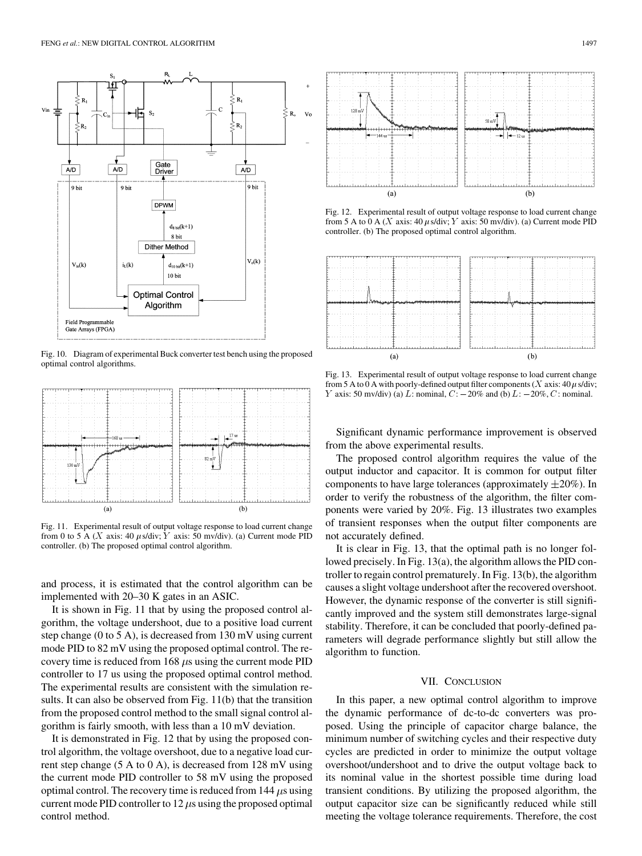

Fig. 10. Diagram of experimental Buck converter test bench using the proposed optimal control algorithms.



Fig. 11. Experimental result of output voltage response to load current change from 0 to 5 A (X axis: 40  $\mu$ s/div; Y axis: 50 mv/div). (a) Current mode PID controller. (b) The proposed optimal control algorithm.

and process, it is estimated that the control algorithm can be implemented with 20–30 K gates in an ASIC.

It is shown in Fig. 11 that by using the proposed control algorithm, the voltage undershoot, due to a positive load current step change (0 to 5 A), is decreased from 130 mV using current mode PID to 82 mV using the proposed optimal control. The recovery time is reduced from  $168 \mu s$  using the current mode PID controller to 17 us using the proposed optimal control method. The experimental results are consistent with the simulation results. It can also be observed from Fig. 11(b) that the transition from the proposed control method to the small signal control algorithm is fairly smooth, with less than a 10 mV deviation.

It is demonstrated in Fig. 12 that by using the proposed control algorithm, the voltage overshoot, due to a negative load current step change (5 A to 0 A), is decreased from 128 mV using the current mode PID controller to 58 mV using the proposed optimal control. The recovery time is reduced from  $144 \mu s$  using current mode PID controller to 12  $\mu$ s using the proposed optimal control method.



Fig. 12. Experimental result of output voltage response to load current change from 5 A to 0 A (X axis: 40  $\mu$  s/div; Y axis: 50 mv/div). (a) Current mode PID controller. (b) The proposed optimal control algorithm.



Fig. 13. Experimental result of output voltage response to load current change from 5 A to 0 A with poorly-defined output filter components (X axis: 40  $\mu$  s/div; Fig. 13. Experimental result of output voltage response to load current chang<br>from 5 A to 0 A with poorly-defined output filter components (X axis: 40  $\mu$ s/div<br>Y axis: 50 mv/div) (a) L: nominal, C: -20% and (b) L: -20%,

Significant dynamic performance improvement is observed from the above experimental results.

The proposed control algorithm requires the value of the output inductor and capacitor. It is common for output filter components to have large tolerances (approximately  $\pm 20\%$ ). In order to verify the robustness of the algorithm, the filter components were varied by 20%. Fig. 13 illustrates two examples of transient responses when the output filter components are not accurately defined.

It is clear in Fig. 13, that the optimal path is no longer followed precisely. In Fig. 13(a), the algorithm allows the PID controller to regain control prematurely. In Fig. 13(b), the algorithm causes a slight voltage undershoot after the recovered overshoot. However, the dynamic response of the converter is still significantly improved and the system still demonstrates large-signal stability. Therefore, it can be concluded that poorly-defined parameters will degrade performance slightly but still allow the algorithm to function.

#### VII. CONCLUSION

In this paper, a new optimal control algorithm to improve the dynamic performance of dc-to-dc converters was proposed. Using the principle of capacitor charge balance, the minimum number of switching cycles and their respective duty cycles are predicted in order to minimize the output voltage overshoot/undershoot and to drive the output voltage back to its nominal value in the shortest possible time during load transient conditions. By utilizing the proposed algorithm, the output capacitor size can be significantly reduced while still meeting the voltage tolerance requirements. Therefore, the cost